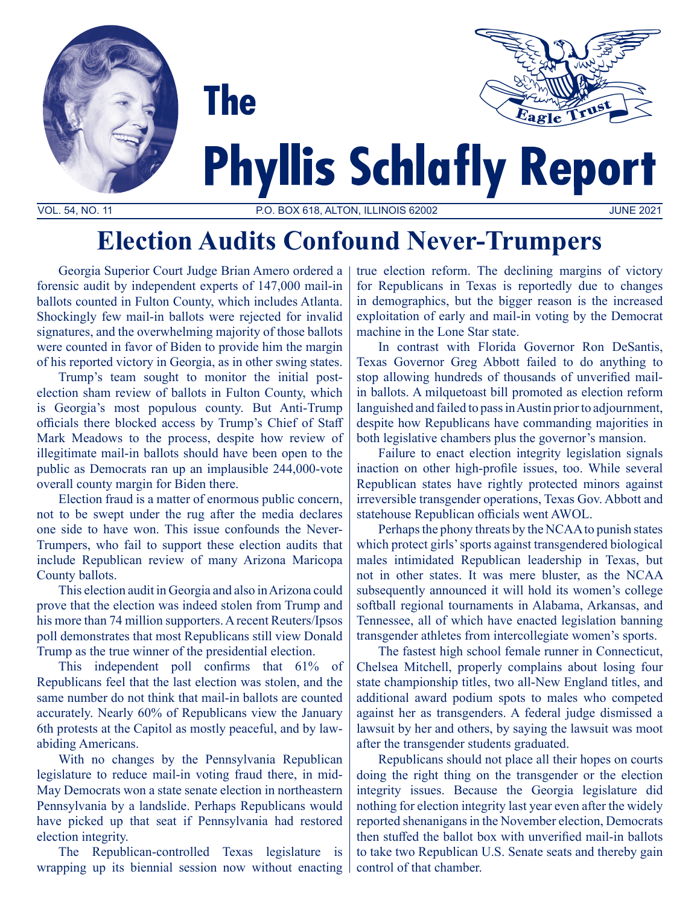

# **Election Audits Confound Never-Trumpers**

Georgia Superior Court Judge Brian Amero ordered a forensic audit by independent experts of 147,000 mail-in ballots counted in Fulton County, which includes Atlanta. Shockingly few mail-in ballots were rejected for invalid signatures, and the overwhelming majority of those ballots were counted in favor of Biden to provide him the margin of his reported victory in Georgia, as in other swing states.

Trump's team sought to monitor the initial postelection sham review of ballots in Fulton County, which is Georgia's most populous county. But Anti-Trump officials there blocked access by Trump's Chief of Staff Mark Meadows to the process, despite how review of illegitimate mail-in ballots should have been open to the public as Democrats ran up an implausible 244,000-vote overall county margin for Biden there.

Election fraud is a matter of enormous public concern, not to be swept under the rug after the media declares one side to have won. This issue confounds the Never-Trumpers, who fail to support these election audits that include Republican review of many Arizona Maricopa County ballots.

This election audit in Georgia and also in Arizona could prove that the election was indeed stolen from Trump and his more than 74 million supporters. A recent Reuters/Ipsos poll demonstrates that most Republicans still view Donald Trump as the true winner of the presidential election.

This independent poll confirms that 61% of Republicans feel that the last election was stolen, and the same number do not think that mail-in ballots are counted accurately. Nearly 60% of Republicans view the January 6th protests at the Capitol as mostly peaceful, and by lawabiding Americans.

With no changes by the Pennsylvania Republican legislature to reduce mail-in voting fraud there, in mid-May Democrats won a state senate election in northeastern Pennsylvania by a landslide. Perhaps Republicans would have picked up that seat if Pennsylvania had restored election integrity.

The Republican-controlled Texas legislature is wrapping up its biennial session now without enacting true election reform. The declining margins of victory for Republicans in Texas is reportedly due to changes in demographics, but the bigger reason is the increased exploitation of early and mail-in voting by the Democrat machine in the Lone Star state.

In contrast with Florida Governor Ron DeSantis, Texas Governor Greg Abbott failed to do anything to stop allowing hundreds of thousands of unverified mailin ballots. A milquetoast bill promoted as election reform languished and failed to pass in Austin prior to adjournment, despite how Republicans have commanding majorities in both legislative chambers plus the governor's mansion.

Failure to enact election integrity legislation signals inaction on other high-profile issues, too. While several Republican states have rightly protected minors against irreversible transgender operations, Texas Gov. Abbott and statehouse Republican officials went AWOL.

Perhaps the phony threats by the NCAA to punish states which protect girls' sports against transgendered biological males intimidated Republican leadership in Texas, but not in other states. It was mere bluster, as the NCAA subsequently announced it will hold its women's college softball regional tournaments in Alabama, Arkansas, and Tennessee, all of which have enacted legislation banning transgender athletes from intercollegiate women's sports.

The fastest high school female runner in Connecticut, Chelsea Mitchell, properly complains about losing four state championship titles, two all-New England titles, and additional award podium spots to males who competed against her as transgenders. A federal judge dismissed a lawsuit by her and others, by saying the lawsuit was moot after the transgender students graduated.

Republicans should not place all their hopes on courts doing the right thing on the transgender or the election integrity issues. Because the Georgia legislature did nothing for election integrity last year even after the widely reported shenanigans in the November election, Democrats then stuffed the ballot box with unverified mail-in ballots to take two Republican U.S. Senate seats and thereby gain control of that chamber.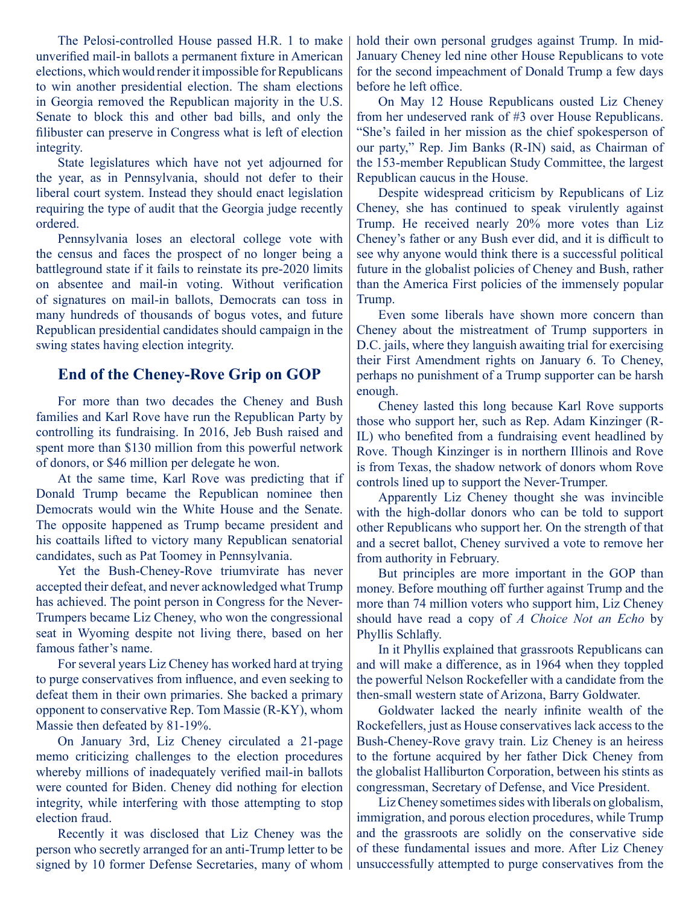The Pelosi-controlled House passed H.R. 1 to make unverified mail-in ballots a permanent fixture in American elections, which would render it impossible for Republicans to win another presidential election. The sham elections in Georgia removed the Republican majority in the U.S. Senate to block this and other bad bills, and only the filibuster can preserve in Congress what is left of election integrity.

State legislatures which have not yet adjourned for the year, as in Pennsylvania, should not defer to their liberal court system. Instead they should enact legislation requiring the type of audit that the Georgia judge recently ordered.

Pennsylvania loses an electoral college vote with the census and faces the prospect of no longer being a battleground state if it fails to reinstate its pre-2020 limits on absentee and mail-in voting. Without verification of signatures on mail-in ballots, Democrats can toss in many hundreds of thousands of bogus votes, and future Republican presidential candidates should campaign in the swing states having election integrity.

## **End of the Cheney-Rove Grip on GOP**

For more than two decades the Cheney and Bush families and Karl Rove have run the Republican Party by controlling its fundraising. In 2016, Jeb Bush raised and spent more than \$130 million from this powerful network of donors, or \$46 million per delegate he won.

At the same time, Karl Rove was predicting that if Donald Trump became the Republican nominee then Democrats would win the White House and the Senate. The opposite happened as Trump became president and his coattails lifted to victory many Republican senatorial candidates, such as Pat Toomey in Pennsylvania.

Yet the Bush-Cheney-Rove triumvirate has never accepted their defeat, and never acknowledged what Trump has achieved. The point person in Congress for the Never-Trumpers became Liz Cheney, who won the congressional seat in Wyoming despite not living there, based on her famous father's name.

For several years Liz Cheney has worked hard at trying to purge conservatives from influence, and even seeking to defeat them in their own primaries. She backed a primary opponent to conservative Rep. Tom Massie (R-KY), whom Massie then defeated by 81-19%.

On January 3rd, Liz Cheney circulated a 21-page memo criticizing challenges to the election procedures whereby millions of inadequately verified mail-in ballots were counted for Biden. Cheney did nothing for election integrity, while interfering with those attempting to stop election fraud.

Recently it was disclosed that Liz Cheney was the person who secretly arranged for an anti-Trump letter to be signed by 10 former Defense Secretaries, many of whom hold their own personal grudges against Trump. In mid-January Cheney led nine other House Republicans to vote for the second impeachment of Donald Trump a few days before he left office.

On May 12 House Republicans ousted Liz Cheney from her undeserved rank of #3 over House Republicans. "She's failed in her mission as the chief spokesperson of our party," Rep. Jim Banks (R-IN) said, as Chairman of the 153-member Republican Study Committee, the largest Republican caucus in the House.

Despite widespread criticism by Republicans of Liz Cheney, she has continued to speak virulently against Trump. He received nearly 20% more votes than Liz Cheney's father or any Bush ever did, and it is difficult to see why anyone would think there is a successful political future in the globalist policies of Cheney and Bush, rather than the America First policies of the immensely popular Trump.

Even some liberals have shown more concern than Cheney about the mistreatment of Trump supporters in D.C. jails, where they languish awaiting trial for exercising their First Amendment rights on January 6. To Cheney, perhaps no punishment of a Trump supporter can be harsh enough.

Cheney lasted this long because Karl Rove supports those who support her, such as Rep. Adam Kinzinger (R-IL) who benefited from a fundraising event headlined by Rove. Though Kinzinger is in northern Illinois and Rove is from Texas, the shadow network of donors whom Rove controls lined up to support the Never-Trumper.

Apparently Liz Cheney thought she was invincible with the high-dollar donors who can be told to support other Republicans who support her. On the strength of that and a secret ballot, Cheney survived a vote to remove her from authority in February.

But principles are more important in the GOP than money. Before mouthing off further against Trump and the more than 74 million voters who support him, Liz Cheney should have read a copy of *A Choice Not an Echo* by Phyllis Schlafly.

In it Phyllis explained that grassroots Republicans can and will make a difference, as in 1964 when they toppled the powerful Nelson Rockefeller with a candidate from the then-small western state of Arizona, Barry Goldwater.

Goldwater lacked the nearly infinite wealth of the Rockefellers, just as House conservatives lack access to the Bush-Cheney-Rove gravy train. Liz Cheney is an heiress to the fortune acquired by her father Dick Cheney from the globalist Halliburton Corporation, between his stints as congressman, Secretary of Defense, and Vice President.

Liz Cheney sometimes sides with liberals on globalism, immigration, and porous election procedures, while Trump and the grassroots are solidly on the conservative side of these fundamental issues and more. After Liz Cheney unsuccessfully attempted to purge conservatives from the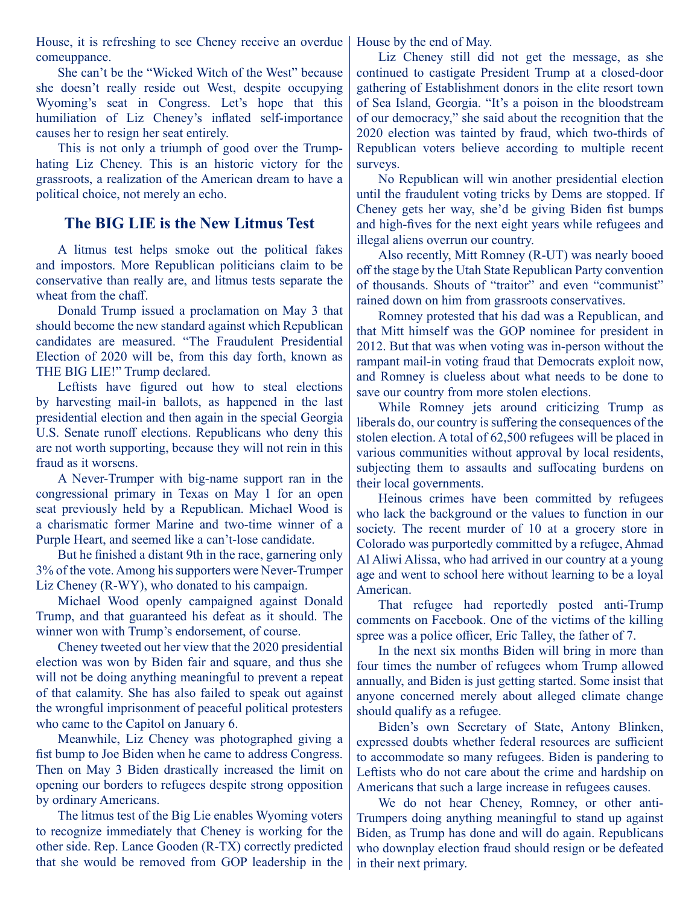House, it is refreshing to see Cheney receive an overdue | comeuppance.

She can't be the "Wicked Witch of the West" because she doesn't really reside out West, despite occupying Wyoming's seat in Congress. Let's hope that this humiliation of Liz Cheney's inflated self-importance causes her to resign her seat entirely.

This is not only a triumph of good over the Trumphating Liz Cheney. This is an historic victory for the grassroots, a realization of the American dream to have a political choice, not merely an echo.

#### **The BIG LIE is the New Litmus Test**

A litmus test helps smoke out the political fakes and impostors. More Republican politicians claim to be conservative than really are, and litmus tests separate the wheat from the chaff.

Donald Trump issued a proclamation on May 3 that should become the new standard against which Republican candidates are measured. "The Fraudulent Presidential Election of 2020 will be, from this day forth, known as THE BIG LIE!" Trump declared.

Leftists have figured out how to steal elections by harvesting mail-in ballots, as happened in the last presidential election and then again in the special Georgia U.S. Senate runoff elections. Republicans who deny this are not worth supporting, because they will not rein in this fraud as it worsens.

A Never-Trumper with big-name support ran in the congressional primary in Texas on May 1 for an open seat previously held by a Republican. Michael Wood is a charismatic former Marine and two-time winner of a Purple Heart, and seemed like a can't-lose candidate.

But he finished a distant 9th in the race, garnering only 3% of the vote. Among his supporters were Never-Trumper Liz Cheney (R-WY), who donated to his campaign.

Michael Wood openly campaigned against Donald Trump, and that guaranteed his defeat as it should. The winner won with Trump's endorsement, of course.

Cheney tweeted out her view that the 2020 presidential election was won by Biden fair and square, and thus she will not be doing anything meaningful to prevent a repeat of that calamity. She has also failed to speak out against the wrongful imprisonment of peaceful political protesters who came to the Capitol on January 6.

Meanwhile, Liz Cheney was photographed giving a fist bump to Joe Biden when he came to address Congress. Then on May 3 Biden drastically increased the limit on opening our borders to refugees despite strong opposition by ordinary Americans.

The litmus test of the Big Lie enables Wyoming voters to recognize immediately that Cheney is working for the other side. Rep. Lance Gooden (R-TX) correctly predicted that she would be removed from GOP leadership in the House by the end of May.

Liz Cheney still did not get the message, as she continued to castigate President Trump at a closed-door gathering of Establishment donors in the elite resort town of Sea Island, Georgia. "It's a poison in the bloodstream of our democracy," she said about the recognition that the 2020 election was tainted by fraud, which two-thirds of Republican voters believe according to multiple recent surveys.

No Republican will win another presidential election until the fraudulent voting tricks by Dems are stopped. If Cheney gets her way, she'd be giving Biden fist bumps and high-fives for the next eight years while refugees and illegal aliens overrun our country.

Also recently, Mitt Romney (R-UT) was nearly booed off the stage by the Utah State Republican Party convention of thousands. Shouts of "traitor" and even "communist" rained down on him from grassroots conservatives.

Romney protested that his dad was a Republican, and that Mitt himself was the GOP nominee for president in 2012. But that was when voting was in-person without the rampant mail-in voting fraud that Democrats exploit now, and Romney is clueless about what needs to be done to save our country from more stolen elections.

While Romney jets around criticizing Trump as liberals do, our country is suffering the consequences of the stolen election. A total of 62,500 refugees will be placed in various communities without approval by local residents, subjecting them to assaults and suffocating burdens on their local governments.

Heinous crimes have been committed by refugees who lack the background or the values to function in our society. The recent murder of 10 at a grocery store in Colorado was purportedly committed by a refugee, Ahmad Al Aliwi Alissa, who had arrived in our country at a young age and went to school here without learning to be a loyal American.

That refugee had reportedly posted anti-Trump comments on Facebook. One of the victims of the killing spree was a police officer, Eric Talley, the father of 7.

In the next six months Biden will bring in more than four times the number of refugees whom Trump allowed annually, and Biden is just getting started. Some insist that anyone concerned merely about alleged climate change should qualify as a refugee.

Biden's own Secretary of State, Antony Blinken, expressed doubts whether federal resources are sufficient to accommodate so many refugees. Biden is pandering to Leftists who do not care about the crime and hardship on Americans that such a large increase in refugees causes.

We do not hear Cheney, Romney, or other anti-Trumpers doing anything meaningful to stand up against Biden, as Trump has done and will do again. Republicans who downplay election fraud should resign or be defeated in their next primary.